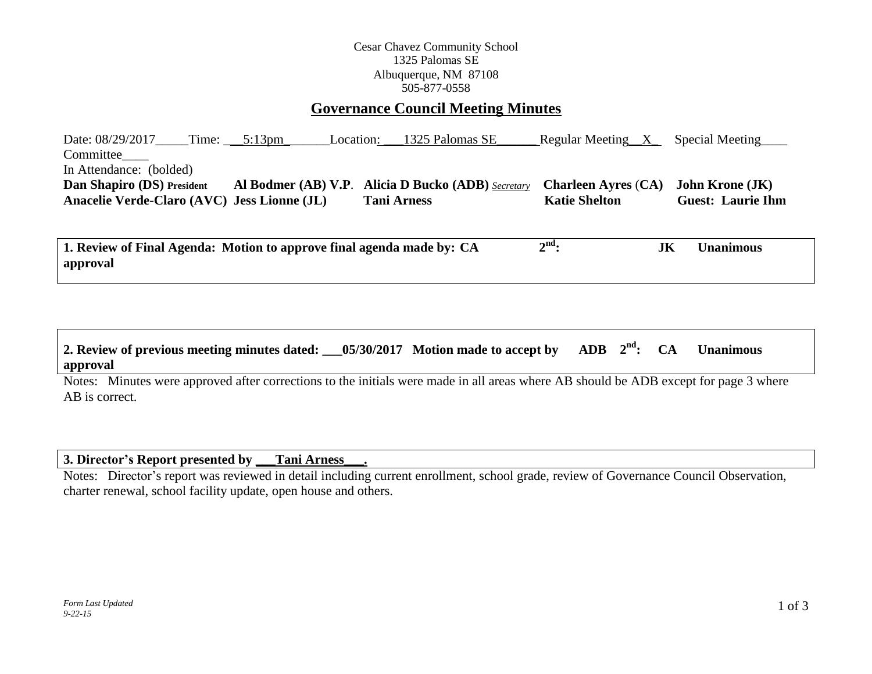#### Cesar Chavez Community School 1325 Palomas SE Albuquerque, NM 87108 505-877-0558

# **Governance Council Meeting Minutes**

Date: 08/29/2017\_\_\_\_\_Time: \_\_\_\_5:13pm\_\_\_\_\_\_\_\_Location: \_\_\_1325 Palomas SE\_\_\_\_\_\_\_ Regular Meeting\_\_X\_\_\_\_Special Meeting Committee\_\_\_\_ In Attendance: (bolded) **Dan Shapiro (DS) President Al Bodmer (AB) V.P**. **Alicia D Bucko (ADB)** *Secretary* **Charleen Ayres** (**CA) John Krone (JK) Anacelie Verde-Claro (AVC) Jess Lionne (JL) Tani Arness Katie Shelton Guest: Laurie Ihm**

**1. Review of Final Agenda: Motion to approve final agenda made by: CA 2 nd: JK Unanimous approval**

#### **2. Review of previous meeting minutes dated:**  $0.05/30/2017$  Motion made to accept by ADB  $2^{nd}$ : CA  $Unanimous$ **approval**

Notes: Minutes were approved after corrections to the initials were made in all areas where AB should be ADB except for page 3 where AB is correct.

## **3. Director's Report presented by \_\_\_Tani Arness\_\_\_.**

Notes: Director's report was reviewed in detail including current enrollment, school grade, review of Governance Council Observation, charter renewal, school facility update, open house and others.